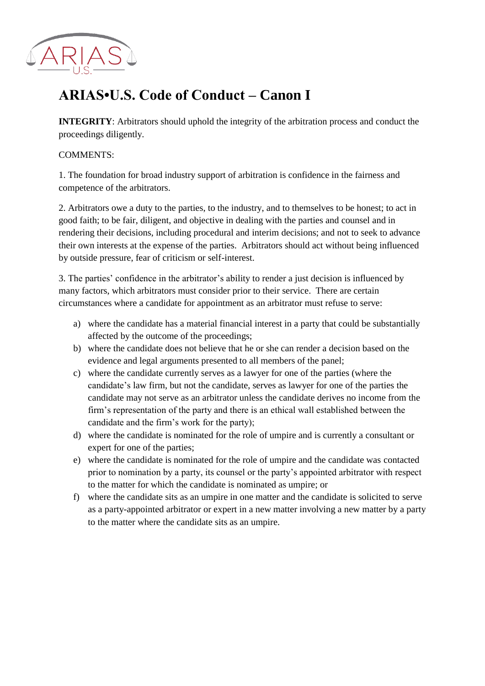

## **ARIAS•U.S. Code of Conduct – Canon I**

**INTEGRITY:** Arbitrators should uphold the integrity of the arbitration process and conduct the proceedings diligently.

## COMMENTS:

1. The foundation for broad industry support of arbitration is confidence in the fairness and competence of the arbitrators.

2. Arbitrators owe a duty to the parties, to the industry, and to themselves to be honest; to act in good faith; to be fair, diligent, and objective in dealing with the parties and counsel and in rendering their decisions, including procedural and interim decisions; and not to seek to advance their own interests at the expense of the parties. Arbitrators should act without being influenced by outside pressure, fear of criticism or self-interest.

3. The parties' confidence in the arbitrator's ability to render a just decision is influenced by many factors, which arbitrators must consider prior to their service. There are certain circumstances where a candidate for appointment as an arbitrator must refuse to serve:

- a) where the candidate has a material financial interest in a party that could be substantially affected by the outcome of the proceedings;
- b) where the candidate does not believe that he or she can render a decision based on the evidence and legal arguments presented to all members of the panel;
- c) where the candidate currently serves as a lawyer for one of the parties (where the candidate's law firm, but not the candidate, serves as lawyer for one of the parties the candidate may not serve as an arbitrator unless the candidate derives no income from the firm's representation of the party and there is an ethical wall established between the candidate and the firm's work for the party);
- d) where the candidate is nominated for the role of umpire and is currently a consultant or expert for one of the parties;
- e) where the candidate is nominated for the role of umpire and the candidate was contacted prior to nomination by a party, its counsel or the party's appointed arbitrator with respect to the matter for which the candidate is nominated as umpire; or
- f) where the candidate sits as an umpire in one matter and the candidate is solicited to serve as a party-appointed arbitrator or expert in a new matter involving a new matter by a party to the matter where the candidate sits as an umpire.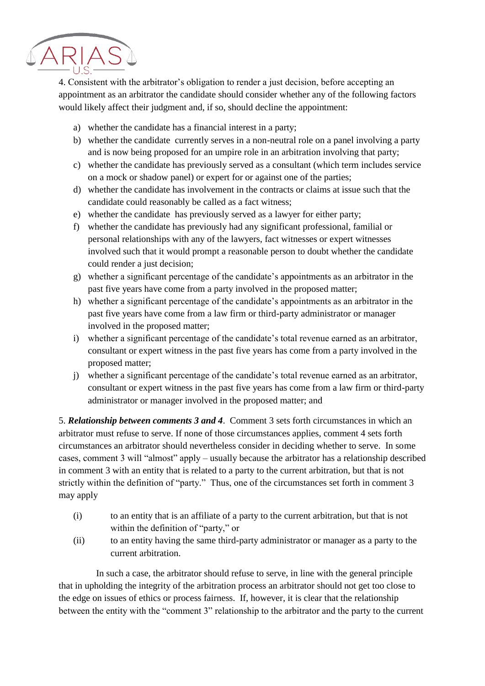

4. Consistent with the arbitrator's obligation to render a just decision, before accepting an appointment as an arbitrator the candidate should consider whether any of the following factors would likely affect their judgment and, if so, should decline the appointment:

- a) whether the candidate has a financial interest in a party;
- b) whether the candidate currently serves in a non-neutral role on a panel involving a party and is now being proposed for an umpire role in an arbitration involving that party;
- c) whether the candidate has previously served as a consultant (which term includes service on a mock or shadow panel) or expert for or against one of the parties;
- d) whether the candidate has involvement in the contracts or claims at issue such that the candidate could reasonably be called as a fact witness;
- e) whether the candidate has previously served as a lawyer for either party;
- f) whether the candidate has previously had any significant professional, familial or personal relationships with any of the lawyers, fact witnesses or expert witnesses involved such that it would prompt a reasonable person to doubt whether the candidate could render a just decision;
- g) whether a significant percentage of the candidate's appointments as an arbitrator in the past five years have come from a party involved in the proposed matter;
- h) whether a significant percentage of the candidate's appointments as an arbitrator in the past five years have come from a law firm or third-party administrator or manager involved in the proposed matter;
- i) whether a significant percentage of the candidate's total revenue earned as an arbitrator, consultant or expert witness in the past five years has come from a party involved in the proposed matter;
- j) whether a significant percentage of the candidate's total revenue earned as an arbitrator, consultant or expert witness in the past five years has come from a law firm or third-party administrator or manager involved in the proposed matter; and

5. *Relationship between comments 3 and 4*. Comment 3 sets forth circumstances in which an arbitrator must refuse to serve. If none of those circumstances applies, comment 4 sets forth circumstances an arbitrator should nevertheless consider in deciding whether to serve. In some cases, comment 3 will "almost" apply – usually because the arbitrator has a relationship described in comment 3 with an entity that is related to a party to the current arbitration, but that is not strictly within the definition of "party." Thus, one of the circumstances set forth in comment 3 may apply

- (i) to an entity that is an affiliate of a party to the current arbitration, but that is not within the definition of "party," or
- (ii) to an entity having the same third-party administrator or manager as a party to the current arbitration.

 In such a case, the arbitrator should refuse to serve, in line with the general principle that in upholding the integrity of the arbitration process an arbitrator should not get too close to the edge on issues of ethics or process fairness. If, however, it is clear that the relationship between the entity with the "comment 3" relationship to the arbitrator and the party to the current